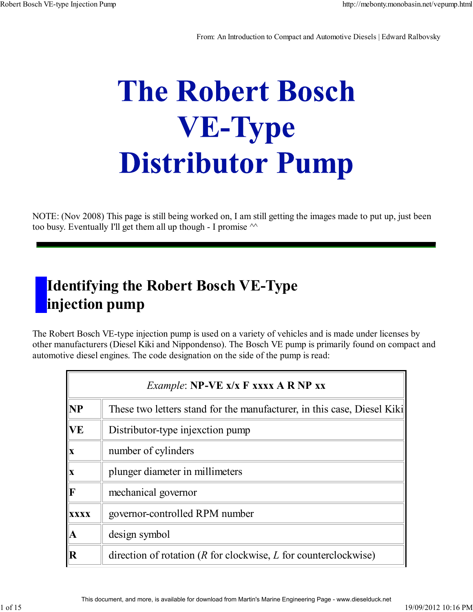From: An Introduction to Compact and Automotive Diesels | Edward Ralbovsky

# **The Robert Bosch VE-Type Distributor Pump**

NOTE: (Nov 2008) This page is still being worked on, I am still getting the images made to put up, just been too busy. Eventually I'll get them all up though - I promise  $\sim$ 

### **Identifying the Robert Bosch VE-Type injection pump**

The Robert Bosch VE-type injection pump is used on a variety of vehicles and is made under licenses by other manufacturers (Diesel Kiki and Nippondenso). The Bosch VE pump is primarily found on compact and automotive diesel engines. The code designation on the side of the pump is read:

| <i>Example:</i> NP-VE x/x F xxxx A R NP xx |                                                                         |  |  |
|--------------------------------------------|-------------------------------------------------------------------------|--|--|
| <b>NP</b>                                  | These two letters stand for the manufacturer, in this case, Diesel Kiki |  |  |
| <b>VE</b>                                  | Distributor-type injexction pump                                        |  |  |
| IX                                         | number of cylinders                                                     |  |  |
| X                                          | plunger diameter in millimeters                                         |  |  |
| $\bf F$                                    | mechanical governor                                                     |  |  |
| <b>XXXX</b>                                | governor-controlled RPM number                                          |  |  |
| $\mathbf A$                                | design symbol                                                           |  |  |
| $\bf R$                                    | direction of rotation ( $R$ for clockwise, $L$ for counterclockwise)    |  |  |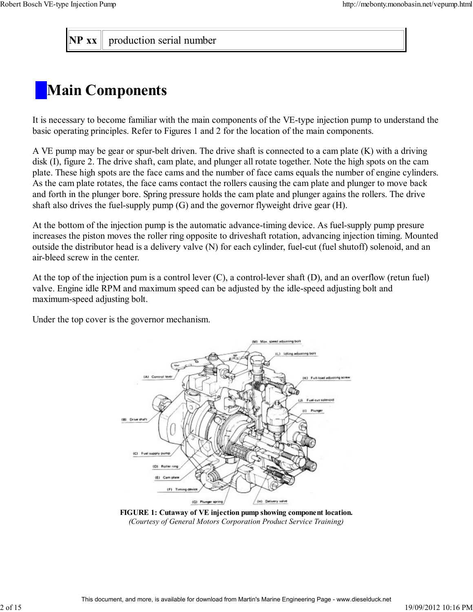**NP** xx  $\parallel$  production serial number

# **Main Components**

It is necessary to become familiar with the main components of the VE-type injection pump to understand the basic operating principles. Refer to Figures 1 and 2 for the location of the main components.

A VE pump may be gear or spur-belt driven. The drive shaft is connected to a cam plate (K) with a driving disk (I), figure 2. The drive shaft, cam plate, and plunger all rotate together. Note the high spots on the cam plate. These high spots are the face cams and the number of face cams equals the number of engine cylinders. As the cam plate rotates, the face cams contact the rollers causing the cam plate and plunger to move back and forth in the plunger bore. Spring pressure holds the cam plate and plunger agains the rollers. The drive shaft also drives the fuel-supply pump (G) and the governor flyweight drive gear (H).

At the bottom of the injection pump is the automatic advance-timing device. As fuel-supply pump presure increases the piston moves the roller ring opposite to driveshaft rotation, advancing injection timing. Mounted outside the distributor head is a delivery valve (N) for each cylinder, fuel-cut (fuel shutoff) solenoid, and an air-bleed screw in the center.

At the top of the injection pum is a control lever (C), a control-lever shaft (D), and an overflow (retun fuel) valve. Engine idle RPM and maximum speed can be adjusted by the idle-speed adjusting bolt and maximum-speed adjusting bolt.

Under the top cover is the governor mechanism.



**FIGURE 1: Cutaway of VE injection pump showing component location.** *(Courtesy of General Motors Corporation Product Service Training)*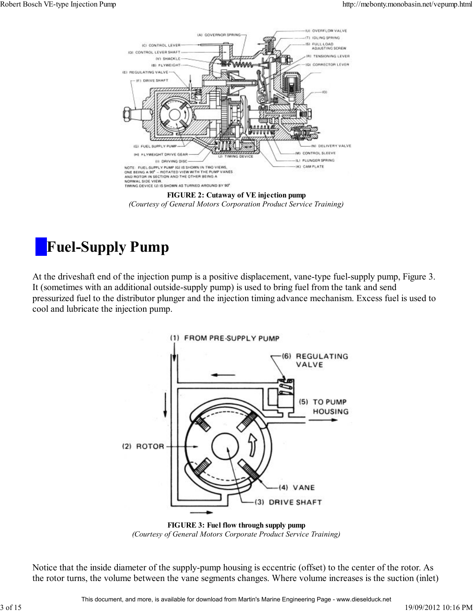

**FIGURE 2: Cutaway of VE injection pump** *(Courtesy of General Motors Corporation Product Service Training)*

### **Fuel-Supply Pump**

At the driveshaft end of the injection pump is a positive displacement, vane-type fuel-supply pump, Figure 3. It (sometimes with an additional outside-supply pump) is used to bring fuel from the tank and send pressurized fuel to the distributor plunger and the injection timing advance mechanism. Excess fuel is used to cool and lubricate the injection pump.



**FIGURE 3: Fuel flow through supply pump** *(Courtesy of General Motors Corporate Product Service Training)*

Notice that the inside diameter of the supply-pump housing is eccentric (offset) to the center of the rotor. As the rotor turns, the volume between the vane segments changes. Where volume increases is the suction (inlet)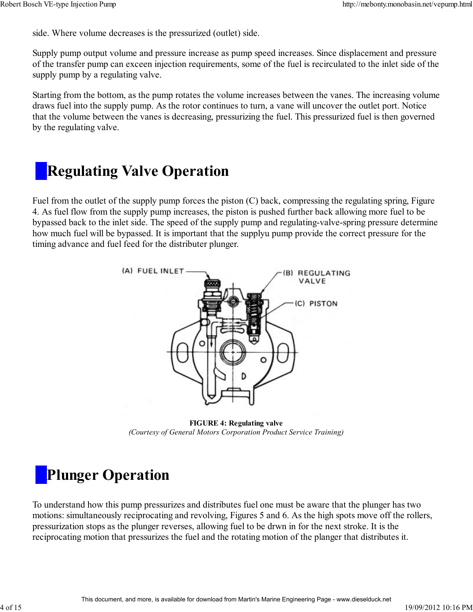side. Where volume decreases is the pressurized (outlet) side.

Supply pump output volume and pressure increase as pump speed increases. Since displacement and pressure of the transfer pump can exceen injection requirements, some of the fuel is recirculated to the inlet side of the supply pump by a regulating valve.

Starting from the bottom, as the pump rotates the volume increases between the vanes. The increasing volume draws fuel into the supply pump. As the rotor continues to turn, a vane will uncover the outlet port. Notice that the volume between the vanes is decreasing, pressurizing the fuel. This pressurized fuel is then governed by the regulating valve.

### **Regulating Valve Operation**

Fuel from the outlet of the supply pump forces the piston (C) back, compressing the regulating spring, Figure 4. As fuel flow from the supply pump increases, the piston is pushed further back allowing more fuel to be bypassed back to the inlet side. The speed of the supply pump and regulating-valve-spring pressure determine how much fuel will be bypassed. It is important that the supplyu pump provide the correct pressure for the timing advance and fuel feed for the distributer plunger.



**FIGURE 4: Regulating valve** *(Courtesy of General Motors Corporation Product Service Training)*

### **Plunger Operation**

To understand how this pump pressurizes and distributes fuel one must be aware that the plunger has two motions: simultaneously reciprocating and revolving, Figures 5 and 6. As the high spots move off the rollers, pressurization stops as the plunger reverses, allowing fuel to be drwn in for the next stroke. It is the reciprocating motion that pressurizes the fuel and the rotating motion of the planger that distributes it.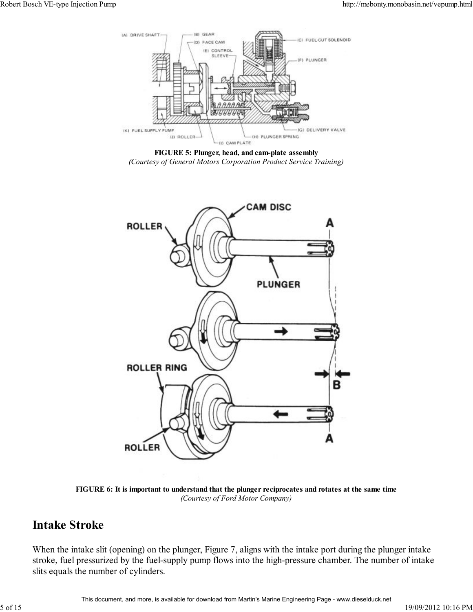

**FIGURE 5: Plunger, head, and cam-plate assembly** *(Courtesy of General Motors Corporation Product Service Training)*



**FIGURE 6: It is important to understand that the plunger reciprocates and rotates at the same time** *(Courtesy of Ford Motor Company)*

#### **Intake Stroke**

When the intake slit (opening) on the plunger, Figure 7, aligns with the intake port during the plunger intake stroke, fuel pressurized by the fuel-supply pump flows into the high-pressure chamber. The number of intake slits equals the number of cylinders.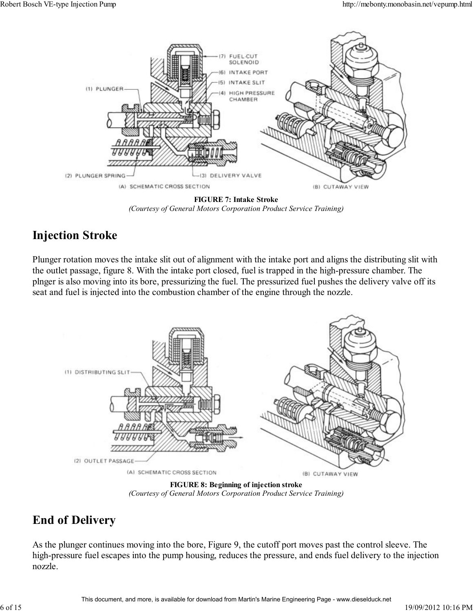

**FIGURE 7: Intake Stroke** *(Courtesy of General Motors Corporation Product Service Training)*

#### **Injection Stroke**

Plunger rotation moves the intake slit out of alignment with the intake port and aligns the distributing slit with the outlet passage, figure 8. With the intake port closed, fuel is trapped in the high-pressure chamber. The plnger is also moving into its bore, pressurizing the fuel. The pressurized fuel pushes the delivery valve off its seat and fuel is injected into the combustion chamber of the engine through the nozzle.



**FIGURE 8: Beginning of injection stroke** *(Courtesy of General Motors Corporation Product Service Training)*

#### **End of Delivery**

As the plunger continues moving into the bore, Figure 9, the cutoff port moves past the control sleeve. The high-pressure fuel escapes into the pump housing, reduces the pressure, and ends fuel delivery to the injection nozzle.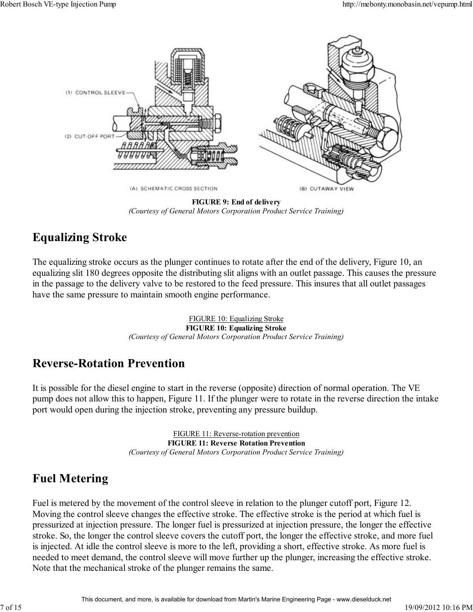

**FIGURE 9: End of delivery** *(Courtesy of General Motors Corporation Product Service Training)*

#### **Equalizing Stroke**

The equalizing stroke occurs as the plunger continues to rotate after the end of the delivery, Figure 10, an equalizing slit 180 degrees opposite the distributing slit aligns with an outlet passage. This causes the pressure in the passage to the delivery valve to be restored to the feed pressure. This insures that all outlet passages have the same pressure to maintain smooth engine performance.

> FIGURE 10: Equalizing Stroke **FIGURE 10: Equalizing Stroke** *(Courtesy of General Motors Corporation Product Service Training)*

#### **Reverse-Rotation Prevention**

It is possible for the diesel engine to start in the reverse (opposite) direction of normal operation. The VE pump does not allow this to happen, Figure 11. If the plunger were to rotate in the reverse direction the intake port would open during the injection stroke, preventing any pressure buildup.

> FIGURE 11: Reverse-rotation prevention **FIGURE 11: Reverse Rotation Prevention** *(Courtesy of General Motors Corporation Product Service Training)*

#### **Fuel Metering**

Fuel is metered by the movement of the control sleeve in relation to the plunger cutoff port, Figure 12. Moving the control sleeve changes the effective stroke. The effective stroke is the period at which fuel is pressurized at injection pressure. The longer fuel is pressurized at injection pressure, the longer the effective stroke. So, the longer the control sleeve covers the cutoff port, the longer the effective stroke, and more fuel is injected. At idle the control sleeve is more to the left, providing a short, effective stroke. As more fuel is needed to meet demand, the control sleeve will move further up the plunger, increasing the effective stroke. Note that the mechanical stroke of the plunger remains the same.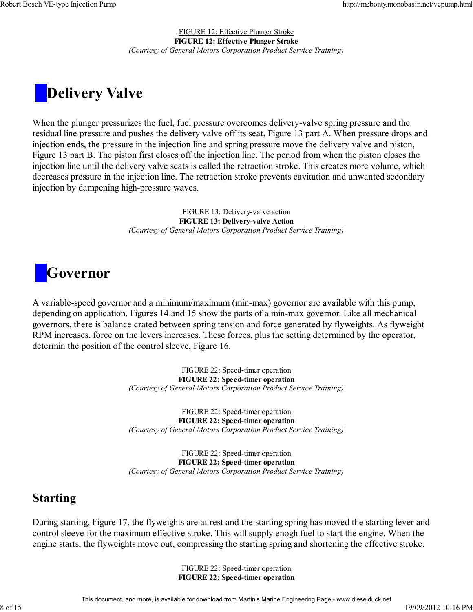FIGURE 12: Effective Plunger Stroke **FIGURE 12: Effective Plunger Stroke** *(Courtesy of General Motors Corporation Product Service Training)*

## **Delivery Valve**

When the plunger pressurizes the fuel, fuel pressure overcomes delivery-valve spring pressure and the residual line pressure and pushes the delivery valve off its seat, Figure 13 part A. When pressure drops and injection ends, the pressure in the injection line and spring pressure move the delivery valve and piston, Figure 13 part B. The piston first closes off the injection line. The period from when the piston closes the injection line until the delivery valve seats is called the retraction stroke. This creates more volume, which decreases pressure in the injection line. The retraction stroke prevents cavitation and unwanted secondary injection by dampening high-pressure waves.

> FIGURE 13: Delivery-valve action **FIGURE 13: Delivery-valve Action** *(Courtesy of General Motors Corporation Product Service Training)*

## **Governor**

A variable-speed governor and a minimum/maximum (min-max) governor are available with this pump, depending on application. Figures 14 and 15 show the parts of a min-max governor. Like all mechanical governors, there is balance crated between spring tension and force generated by flyweights. As flyweight RPM increases, force on the levers increases. These forces, plus the setting determined by the operator, determin the position of the control sleeve, Figure 16.

> FIGURE 22: Speed-timer operation **FIGURE 22: Speed-timer operation** *(Courtesy of General Motors Corporation Product Service Training)*

> FIGURE 22: Speed-timer operation **FIGURE 22: Speed-timer operation** *(Courtesy of General Motors Corporation Product Service Training)*

> FIGURE 22: Speed-timer operation **FIGURE 22: Speed-timer operation** *(Courtesy of General Motors Corporation Product Service Training)*

#### **Starting**

During starting, Figure 17, the flyweights are at rest and the starting spring has moved the starting lever and control sleeve for the maximum effective stroke. This will supply enogh fuel to start the engine. When the engine starts, the flyweights move out, compressing the starting spring and shortening the effective stroke.

> FIGURE 22: Speed-timer operation **FIGURE 22: Speed-timer operation**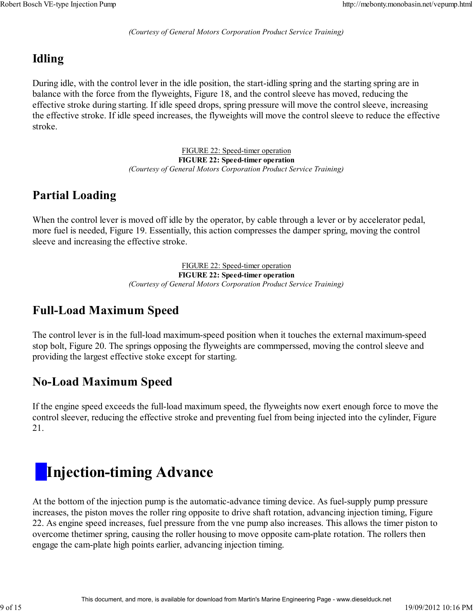*(Courtesy of General Motors Corporation Product Service Training)*

#### **Idling**

During idle, with the control lever in the idle position, the start-idling spring and the starting spring are in balance with the force from the flyweights, Figure 18, and the control sleeve has moved, reducing the effective stroke during starting. If idle speed drops, spring pressure will move the control sleeve, increasing the effective stroke. If idle speed increases, the flyweights will move the control sleeve to reduce the effective stroke.

> FIGURE 22: Speed-timer operation **FIGURE 22: Speed-timer operation** *(Courtesy of General Motors Corporation Product Service Training)*

#### **Partial Loading**

When the control lever is moved off idle by the operator, by cable through a lever or by accelerator pedal, more fuel is needed, Figure 19. Essentially, this action compresses the damper spring, moving the control sleeve and increasing the effective stroke.

> FIGURE 22: Speed-timer operation **FIGURE 22: Speed-timer operation** *(Courtesy of General Motors Corporation Product Service Training)*

#### **Full-Load Maximum Speed**

The control lever is in the full-load maximum-speed position when it touches the external maximum-speed stop bolt, Figure 20. The springs opposing the flyweights are commperssed, moving the control sleeve and providing the largest effective stoke except for starting.

#### **No-Load Maximum Speed**

If the engine speed exceeds the full-load maximum speed, the flyweights now exert enough force to move the control sleever, reducing the effective stroke and preventing fuel from being injected into the cylinder, Figure 21.

# **Injection-timing Advance**

At the bottom of the injection pump is the automatic-advance timing device. As fuel-supply pump pressure increases, the piston moves the roller ring opposite to drive shaft rotation, advancing injection timing, Figure 22. As engine speed increases, fuel pressure from the vne pump also increases. This allows the timer piston to overcome thetimer spring, causing the roller housing to move opposite cam-plate rotation. The rollers then engage the cam-plate high points earlier, advancing injection timing.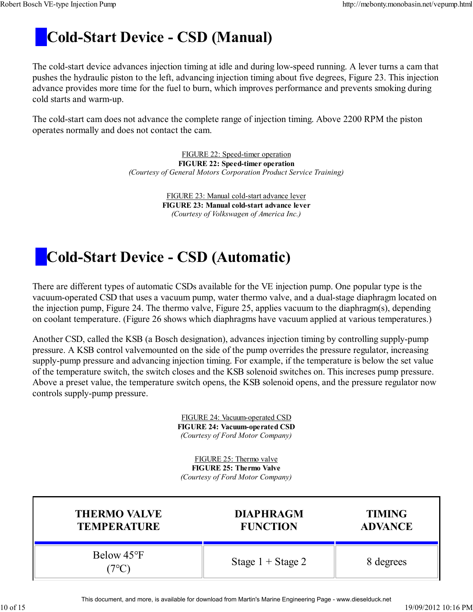### **Cold-Start Device - CSD (Manual)**

The cold-start device advances injection timing at idle and during low-speed running. A lever turns a cam that pushes the hydraulic piston to the left, advancing injection timing about five degrees, Figure 23. This injection advance provides more time for the fuel to burn, which improves performance and prevents smoking during cold starts and warm-up.

The cold-start cam does not advance the complete range of injection timing. Above 2200 RPM the piston operates normally and does not contact the cam.

> FIGURE 22: Speed-timer operation **FIGURE 22: Speed-timer operation** *(Courtesy of General Motors Corporation Product Service Training)*

> > FIGURE 23: Manual cold-start advance lever **FIGURE 23: Manual cold-start advance lever** *(Courtesy of Volkswagen of America Inc.)*

### **Cold-Start Device - CSD (Automatic)**

There are different types of automatic CSDs available for the VE injection pump. One popular type is the vacuum-operated CSD that uses a vacuum pump, water thermo valve, and a dual-stage diaphragm located on the injection pump, Figure 24. The thermo valve, Figure 25, applies vacuum to the diaphragm(s), depending on coolant temperature. (Figure 26 shows which diaphragms have vacuum applied at various temperatures.)

Another CSD, called the KSB (a Bosch designation), advances injection timing by controlling supply-pump pressure. A KSB control valvemounted on the side of the pump overrides the pressure regulator, increasing supply-pump pressure and advancing injection timing. For example, if the temperature is below the set value of the temperature switch, the switch closes and the KSB solenoid switches on. This increses pump pressure. Above a preset value, the temperature switch opens, the KSB solenoid opens, and the pressure regulator now controls supply-pump pressure.

> FIGURE 24: Vacuum-operated CSD **FIGURE 24: Vacuum-operated CSD** *(Courtesy of Ford Motor Company)*

FIGURE 25: Thermo valve **FIGURE 25: Thermo Valve** *(Courtesy of Ford Motor Company)*

| <b>THERMO VALVE</b> | <b>DIAPHRAGM</b>    | <b>TIMING</b>  |
|---------------------|---------------------|----------------|
| <b>TEMPERATURE</b>  | <b>FUNCTION</b>     | <b>ADVANCE</b> |
| Below 45°F          | Stage $1 +$ Stage 2 | 8 degrees      |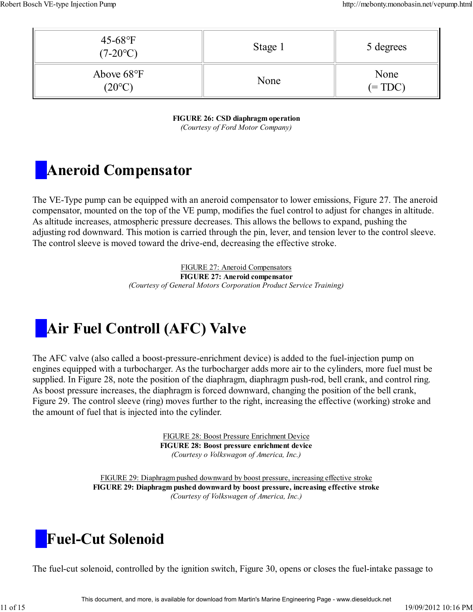| $45-68$ °F<br>$(7-20$ °C)               | Stage 1 | 5 degrees         |
|-----------------------------------------|---------|-------------------|
| Above $68^{\circ}$ F<br>$(20^{\circ}C)$ | None    | None<br>$(= TDC)$ |

**FIGURE 26: CSD diaphragm operation** *(Courtesy of Ford Motor Company)*

### **Aneroid Compensator**

The VE-Type pump can be equipped with an aneroid compensator to lower emissions, Figure 27. The aneroid compensator, mounted on the top of the VE pump, modifies the fuel control to adjust for changes in altitude. As altitude increases, atmospheric pressure decreases. This allows the bellows to expand, pushing the adjusting rod downward. This motion is carried through the pin, lever, and tension lever to the control sleeve. The control sleeve is moved toward the drive-end, decreasing the effective stroke.

> FIGURE 27: Aneroid Compensators **FIGURE 27: Aneroid compensator** *(Courtesy of General Motors Corporation Product Service Training)*

### **Air Fuel Controll (AFC) Valve**

The AFC valve (also called a boost-pressure-enrichment device) is added to the fuel-injection pump on engines equipped with a turbocharger. As the turbocharger adds more air to the cylinders, more fuel must be supplied. In Figure 28, note the position of the diaphragm, diaphragm push-rod, bell crank, and control ring. As boost pressure increases, the diaphragm is forced downward, changing the position of the bell crank, Figure 29. The control sleeve (ring) moves further to the right, increasing the effective (working) stroke and the amount of fuel that is injected into the cylinder.

> FIGURE 28: Boost Pressure Enrichment Device **FIGURE 28: Boost pressure enrichment device** *(Courtesy o Volkswagon of America, Inc.)*

FIGURE 29: Diaphragm pushed downward by boost pressure, increasing effective stroke **FIGURE 29: Diaphragm pushed downward by boost pressure, increasing effective stroke** *(Courtesy of Volkswagen of America, Inc.)*

### **Fuel-Cut Solenoid**

The fuel-cut solenoid, controlled by the ignition switch, Figure 30, opens or closes the fuel-intake passage to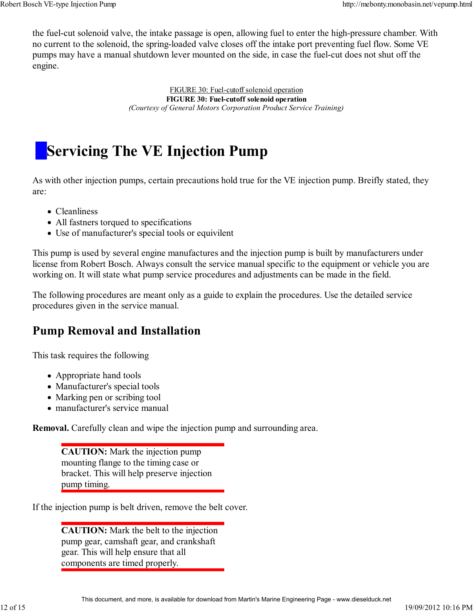the fuel-cut solenoid valve, the intake passage is open, allowing fuel to enter the high-pressure chamber. With no current to the solenoid, the spring-loaded valve closes off the intake port preventing fuel flow. Some VE pumps may have a manual shutdown lever mounted on the side, in case the fuel-cut does not shut off the engine.

> FIGURE 30: Fuel-cutoff solenoid operation **FIGURE 30: Fuel-cutoff solenoid operation** *(Courtesy of General Motors Corporation Product Service Training)*

### **Servicing The VE Injection Pump**

As with other injection pumps, certain precautions hold true for the VE injection pump. Breifly stated, they are:

- Cleanliness
- All fastners torqued to specifications
- Use of manufacturer's special tools or equivilent

This pump is used by several engine manufactures and the injection pump is built by manufacturers under license from Robert Bosch. Always consult the service manual specific to the equipment or vehicle you are working on. It will state what pump service procedures and adjustments can be made in the field.

The following procedures are meant only as a guide to explain the procedures. Use the detailed service procedures given in the service manual.

#### **Pump Removal and Installation**

This task requires the following

- Appropriate hand tools
- Manufacturer's special tools
- Marking pen or scribing tool
- manufacturer's service manual

**Removal.** Carefully clean and wipe the injection pump and surrounding area.

**CAUTION:** Mark the injection pump mounting flange to the timing case or bracket. This will help preserve injection pump timing.

If the injection pump is belt driven, remove the belt cover.

**CAUTION:** Mark the belt to the injection pump gear, camshaft gear, and crankshaft gear. This will help ensure that all components are timed properly.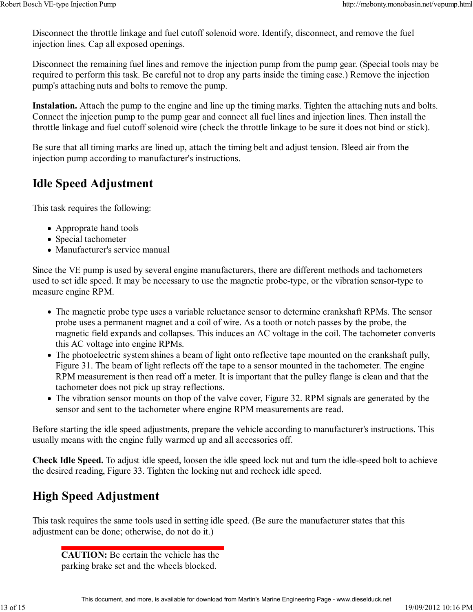Disconnect the throttle linkage and fuel cutoff solenoid wore. Identify, disconnect, and remove the fuel injection lines. Cap all exposed openings.

Disconnect the remaining fuel lines and remove the injection pump from the pump gear. (Special tools may be required to perform this task. Be careful not to drop any parts inside the timing case.) Remove the injection pump's attaching nuts and bolts to remove the pump.

**Instalation.** Attach the pump to the engine and line up the timing marks. Tighten the attaching nuts and bolts. Connect the injection pump to the pump gear and connect all fuel lines and injection lines. Then install the throttle linkage and fuel cutoff solenoid wire (check the throttle linkage to be sure it does not bind or stick).

Be sure that all timing marks are lined up, attach the timing belt and adjust tension. Bleed air from the injection pump according to manufacturer's instructions.

#### **Idle Speed Adjustment**

This task requires the following:

- Approprate hand tools
- Special tachometer
- Manufacturer's service manual

Since the VE pump is used by several engine manufacturers, there are different methods and tachometers used to set idle speed. It may be necessary to use the magnetic probe-type, or the vibration sensor-type to measure engine RPM.

- The magnetic probe type uses a variable reluctance sensor to determine crankshaft RPMs. The sensor probe uses a permanent magnet and a coil of wire. As a tooth or notch passes by the probe, the magnetic field expands and collapses. This induces an AC voltage in the coil. The tachometer converts this AC voltage into engine RPMs.
- The photoelectric system shines a beam of light onto reflective tape mounted on the crankshaft pully, Figure 31. The beam of light reflects off the tape to a sensor mounted in the tachometer. The engine RPM measurement is then read off a meter. It is important that the pulley flange is clean and that the tachometer does not pick up stray reflections.
- The vibration sensor mounts on thop of the valve cover, Figure 32. RPM signals are generated by the sensor and sent to the tachometer where engine RPM measurements are read.

Before starting the idle speed adjustments, prepare the vehicle according to manufacturer's instructions. This usually means with the engine fully warmed up and all accessories off.

**Check Idle Speed.** To adjust idle speed, loosen the idle speed lock nut and turn the idle-speed bolt to achieve the desired reading, Figure 33. Tighten the locking nut and recheck idle speed.

#### **High Speed Adjustment**

This task requires the same tools used in setting idle speed. (Be sure the manufacturer states that this adjustment can be done; otherwise, do not do it.)

**CAUTION:** Be certain the vehicle has the parking brake set and the wheels blocked.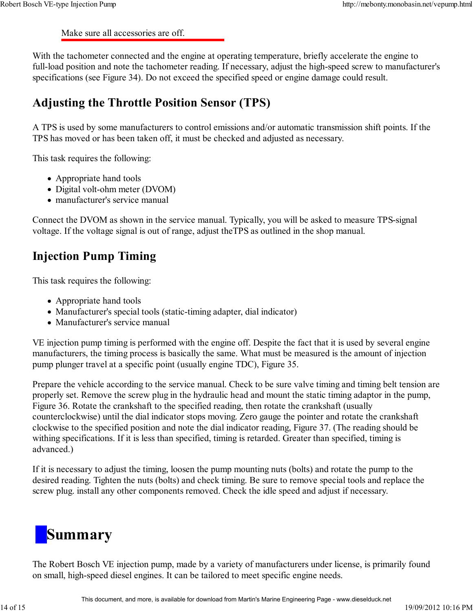Make sure all accessories are off.

With the tachometer connected and the engine at operating temperature, briefly accelerate the engine to full-load position and note the tachometer reading. If necessary, adjust the high-speed screw to manufacturer's specifications (see Figure 34). Do not exceed the specified speed or engine damage could result.

#### **Adjusting the Throttle Position Sensor (TPS)**

A TPS is used by some manufacturers to control emissions and/or automatic transmission shift points. If the TPS has moved or has been taken off, it must be checked and adjusted as necessary.

This task requires the following:

- Appropriate hand tools
- Digital volt-ohm meter (DVOM)
- manufacturer's service manual

Connect the DVOM as shown in the service manual. Typically, you will be asked to measure TPS-signal voltage. If the voltage signal is out of range, adjust theTPS as outlined in the shop manual.

#### **Injection Pump Timing**

This task requires the following:

- Appropriate hand tools
- Manufacturer's special tools (static-timing adapter, dial indicator)
- Manufacturer's service manual

VE injection pump timing is performed with the engine off. Despite the fact that it is used by several engine manufacturers, the timing process is basically the same. What must be measured is the amount of injection pump plunger travel at a specific point (usually engine TDC), Figure 35.

Prepare the vehicle according to the service manual. Check to be sure valve timing and timing belt tension are properly set. Remove the screw plug in the hydraulic head and mount the static timing adaptor in the pump, Figure 36. Rotate the crankshaft to the specified reading, then rotate the crankshaft (usually counterclockwise) until the dial indicator stops moving. Zero gauge the pointer and rotate the crankshaft clockwise to the specified position and note the dial indicator reading, Figure 37. (The reading should be withing specifications. If it is less than specified, timing is retarded. Greater than specified, timing is advanced.)

If it is necessary to adjust the timing, loosen the pump mounting nuts (bolts) and rotate the pump to the desired reading. Tighten the nuts (bolts) and check timing. Be sure to remove special tools and replace the screw plug. install any other components removed. Check the idle speed and adjust if necessary.

# **Summary**

The Robert Bosch VE injection pump, made by a variety of manufacturers under license, is primarily found on small, high-speed diesel engines. It can be tailored to meet specific engine needs.